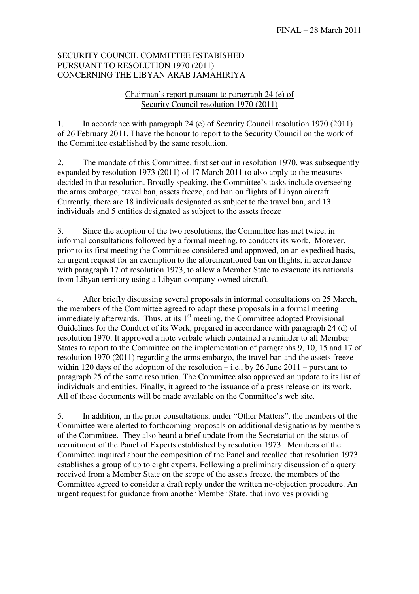## SECURITY COUNCIL COMMITTEE ESTABISHED PURSUANT TO RESOLUTION 1970 (2011) CONCERNING THE LIBYAN ARAB JAMAHIRIYA

## Chairman's report pursuant to paragraph 24 (e) of Security Council resolution 1970 (2011)

1. In accordance with paragraph 24 (e) of Security Council resolution 1970 (2011) of 26 February 2011, I have the honour to report to the Security Council on the work of the Committee established by the same resolution.

2. The mandate of this Committee, first set out in resolution 1970, was subsequently expanded by resolution 1973 (2011) of 17 March 2011 to also apply to the measures decided in that resolution. Broadly speaking, the Committee's tasks include overseeing the arms embargo, travel ban, assets freeze, and ban on flights of Libyan aircraft. Currently, there are 18 individuals designated as subject to the travel ban, and 13 individuals and 5 entities designated as subject to the assets freeze

3. Since the adoption of the two resolutions, the Committee has met twice, in informal consultations followed by a formal meeting, to conducts its work. Morever, prior to its first meeting the Committee considered and approved, on an expedited basis, an urgent request for an exemption to the aforementioned ban on flights, in accordance with paragraph 17 of resolution 1973, to allow a Member State to evacuate its nationals from Libyan territory using a Libyan company-owned aircraft.

4. After briefly discussing several proposals in informal consultations on 25 March, the members of the Committee agreed to adopt these proposals in a formal meeting immediately afterwards. Thus, at its  $1<sup>st</sup>$  meeting, the Committee adopted Provisional Guidelines for the Conduct of its Work, prepared in accordance with paragraph 24 (d) of resolution 1970. It approved a note verbale which contained a reminder to all Member States to report to the Committee on the implementation of paragraphs 9, 10, 15 and 17 of resolution 1970 (2011) regarding the arms embargo, the travel ban and the assets freeze within 120 days of the adoption of the resolution – i.e., by 26 June 2011 – pursuant to paragraph 25 of the same resolution. The Committee also approved an update to its list of individuals and entities. Finally, it agreed to the issuance of a press release on its work. All of these documents will be made available on the Committee's web site.

5. In addition, in the prior consultations, under "Other Matters", the members of the Committee were alerted to forthcoming proposals on additional designations by members of the Committee. They also heard a brief update from the Secretariat on the status of recruitment of the Panel of Experts established by resolution 1973. Members of the Committee inquired about the composition of the Panel and recalled that resolution 1973 establishes a group of up to eight experts. Following a preliminary discussion of a query received from a Member State on the scope of the assets freeze, the members of the Committee agreed to consider a draft reply under the written no-objection procedure. An urgent request for guidance from another Member State, that involves providing